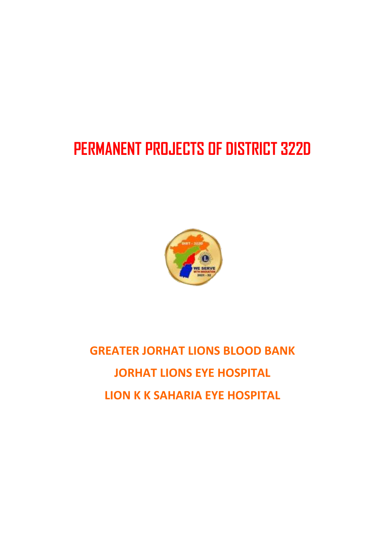# **PERMANENT PROJECTS OF DISTRICT 322D**



# **GREATER JORHAT LIONS BLOOD BANK JORHAT LIONS EYE HOSPITAL LION K K SAHARIA EYE HOSPITAL**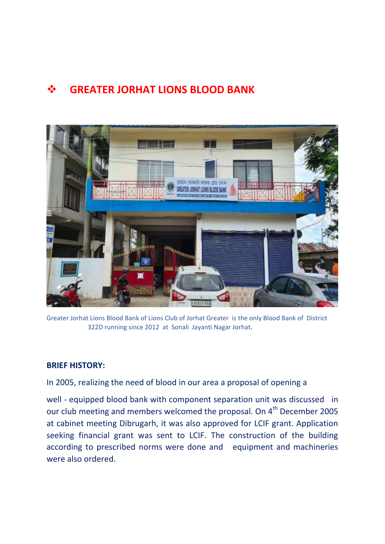# **GREATER JORHAT LIONS BLOOD BANK**



Greater Jorhat Lions Blood Bank of Lions Club of Jorhat Greater is the only Blood Bank of District 322D running since 2012 at Sonali Jayanti Nagar Jorhat.

#### **BRIEF HISTORY:**

In 2005, realizing the need of blood in our area a proposal of opening a

well - equipped blood bank with component separation unit was discussed in our club meeting and members welcomed the proposal. On 4<sup>th</sup> December 2005 at cabinet meeting Dibrugarh, it was also approved for LCIF grant. Application seeking financial grant was sent to LCIF. The construction of the building according to prescribed norms were done and equipment and machineries were also ordered.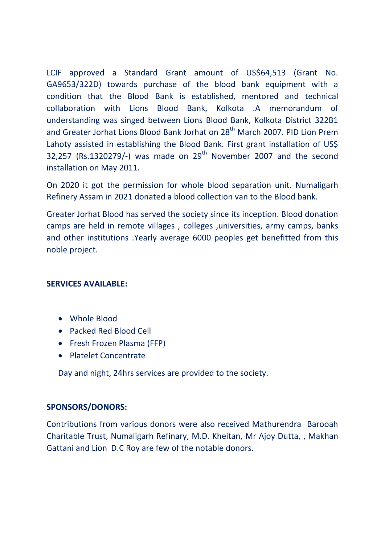LCIF approved a Standard Grant amount of US\$64,513 (Grant No. GA9653/322D) towards purchase of the blood bank equipment with a condition that the Blood Bank is established, mentored and technical collaboration with Lions Blood Bank, Kolkota .A memorandum of understanding was singed between Lions Blood Bank, Kolkota District 322B1 and Greater Jorhat Lions Blood Bank Jorhat on 28<sup>th</sup> March 2007. PID Lion Prem Lahoty assisted in establishing the Blood Bank. First grant installation of US\$ 32,257 (Rs.1320279/-) was made on  $29<sup>th</sup>$  November 2007 and the second installation on May 2011.

On 2020 it got the permission for whole blood separation unit. Numaligarh Refinery Assam in 2021 donated a blood collection van to the Blood bank.

Greater Jorhat Blood has served the society since its inception. Blood donation camps are held in remote villages , colleges ,universities, army camps, banks and other institutions .Yearly average 6000 peoples get benefitted from this noble project.

#### **SERVICES AVAILABLE:**

- Whole Blood
- Packed Red Blood Cell
- Fresh Frozen Plasma (FFP)
- Platelet Concentrate

Day and night, 24hrs services are provided to the society.

#### **SPONSORS/DONORS:**

Contributions from various donors were also received Mathurendra Barooah Charitable Trust, Numaligarh Refinary, M.D. Kheitan, Mr Ajoy Dutta, , Makhan Gattani and Lion D.C Roy are few of the notable donors.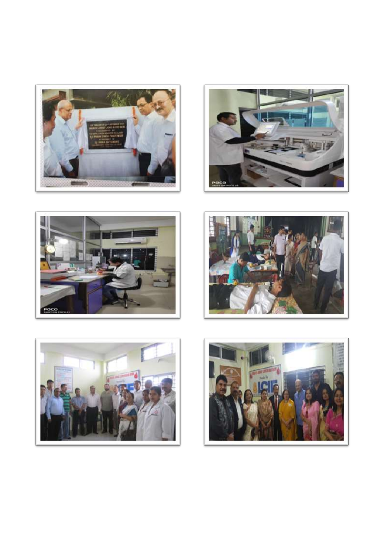









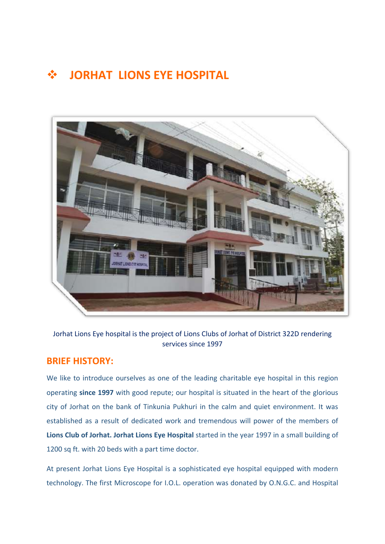# **JORHAT LIONS EYE HOSPITAL**



Jorhat Lions Eye hospital is the project of Lions Clubs of Jorhat of District 322D rendering services since 1997

### **BRIEF HISTORY:**

We like to introduce ourselves as one of the leading charitable eye hospital in this region operating **since 1997** with good repute; our hospital is situated in the heart of the glorious city of Jorhat on the bank of Tinkunia Pukhuri in the calm and quiet environment. It was established as a result of dedicated work and tremendous will power of the members of **Lions Club of Jorhat. Jorhat Lions Eye Hospital** started in the year 1997 in a small building of 1200 sq ft. with 20 beds with a part time doctor.

At present Jorhat Lions Eye Hospital is a sophisticated eye hospital equipped with modern technology. The first Microscope for I.O.L. operation was donated by O.N.G.C. and Hospital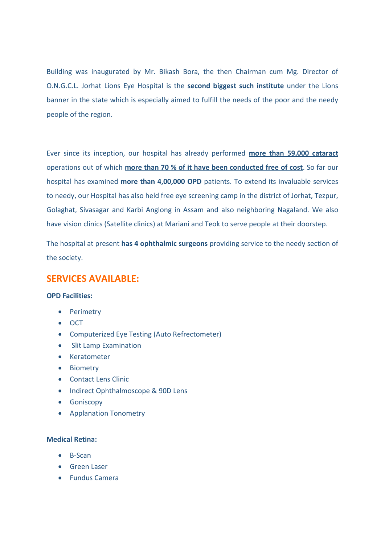Building was inaugurated by Mr. Bikash Bora, the then Chairman cum Mg. Director of O.N.G.C.L. Jorhat Lions Eye Hospital is the **second biggest such institute** under the Lions banner in the state which is especially aimed to fulfill the needs of the poor and the needy people of the region.

Ever since its inception, our hospital has already performed **more than 59,000 cataract** operations out of which **more than 70 % of it have been conducted free of cost**. So far our hospital has examined **more than 4,00,000 OPD** patients. To extend its invaluable services to needy, our Hospital has also held free eye screening camp in the district of Jorhat, Tezpur, Golaghat, Sivasagar and Karbi Anglong in Assam and also neighboring Nagaland. We also have vision clinics (Satellite clinics) at Mariani and Teok to serve people at their doorstep.

The hospital at present **has 4 ophthalmic surgeons** providing service to the needy section of the society.

#### **SERVICES AVAILABLE:**

#### **OPD Facilities:**

- Perimetry
- $\bullet$  OCT
- Computerized Eye Testing (Auto Refrectometer)
- Slit Lamp Examination
- Keratometer
- Biometry
- Contact Lens Clinic
- Indirect Ophthalmoscope & 90D Lens
- **•** Goniscopy
- Applanation Tonometry

#### **Medical Retina:**

- B-Scan
- **Green Laser**
- Fundus Camera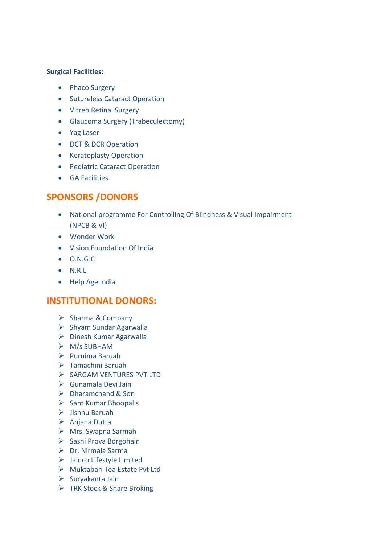#### **Surgical Facilities:**

- Phaco Surgery
- Sutureless Cataract Operation
- Vitreo Retinal Surgery
- Glaucoma Surgery (Trabeculectomy)
- Yag Laser
- DCT & DCR Operation
- **•** Keratoplasty Operation
- Pediatric Cataract Operation
- GA Facilities

## **SPONSORS /DONORS**

- National programme For Controlling Of Blindness & Visual Impairment (NPCB & VI)
- Wonder Work
- Vision Foundation Of India
- $\bullet$  ONGC
- N.R.L
- Help Age India

### **INSTITUTIONAL DONORS:**

- $\triangleright$  Sharma & Company
- $\triangleright$  Shyam Sundar Agarwalla
- $\triangleright$  Dinesh Kumar Agarwalla
- $\triangleright$  M/s SUBHAM
- $\triangleright$  Purnima Baruah
- $\triangleright$  Tamachini Baruah
- $\triangleright$  SARGAM VENTURES PVT LTD
- Gunamala Devi Jain
- $\triangleright$  Dharamchand & Son
- $\triangleright$  Sant Kumar Bhoopal s
- Jishnu Baruah
- Anjana Dutta
- Mrs. Swapna Sarmah
- $\triangleright$  Sashi Prova Borgohain
- $\triangleright$  Dr. Nirmala Sarma
- $\triangleright$  Jainco Lifestyle Limited
- Muktabari Tea Estate Pvt Ltd
- $\triangleright$  Survakanta Jain
- **► TRK Stock & Share Broking**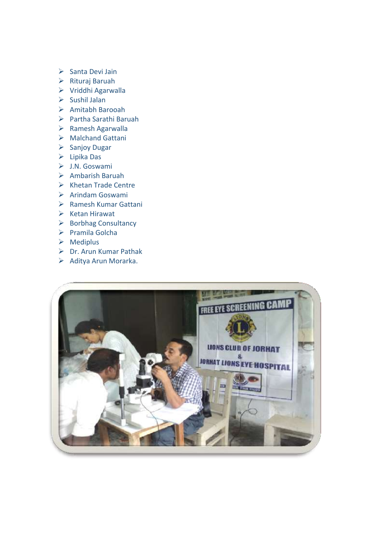- $\triangleright$  Santa Devi Jain
- $\triangleright$  Rituraj Baruah
- $\triangleright$  Vriddhi Agarwalla
- $\triangleright$  Sushil Jalan
- Amitabh Barooah
- Partha Sarathi Baruah
- Ramesh Agarwalla
- Malchand Gattani
- $\triangleright$  Sanjoy Dugar
- $\triangleright$  Lipika Das
- J.N. Goswami
- $\triangleright$  Ambarish Baruah
- $\triangleright$  Khetan Trade Centre
- $\triangleright$  Arindam Goswami
- Ramesh Kumar Gattani
- $\triangleright$  Ketan Hirawat
- $\triangleright$  Borbhag Consultancy
- $\triangleright$  Pramila Golcha
- $\triangleright$  Mediplus
- Dr. Arun Kumar Pathak
- Aditya Arun Morarka.

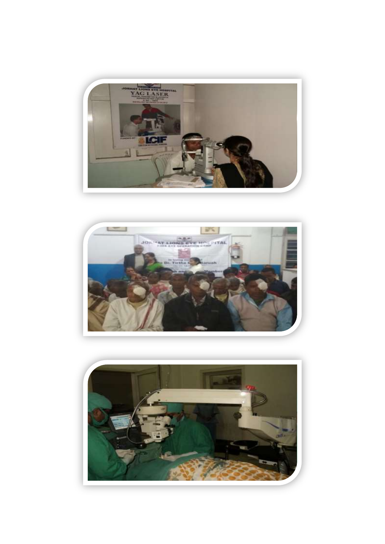



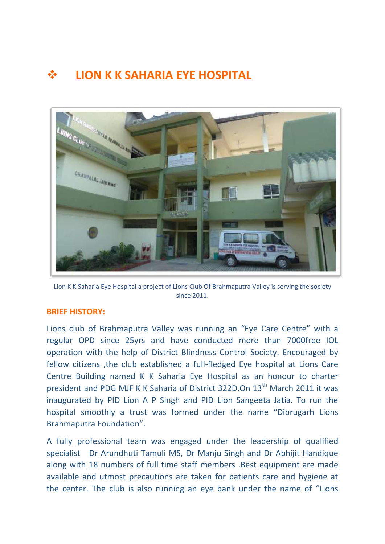# $\div$  LION K K SAHARIA EYE HOSPITAL



Lion K K Saharia Eye Hospital a project of Lions Club Of Brahmaputra Valley is serving the society since 2011.

#### **BRIEF HISTORY:**

Lions club of Brahmaputra Valley was running an "Eye Care Centre" with a regular OPD since 25yrs and have conducted more than 7000free IOL operation with the help of District Blindness Control Society. Encouraged by fellow citizens ,the club established a full-fledged Eye hospital at Lions Care Centre Building named K K Saharia Eye Hospital as an honour to charter president and PDG MJF K K Saharia of District 322D.On 13<sup>th</sup> March 2011 it was inaugurated by PID Lion A P Singh and PID Lion Sangeeta Jatia. To run the hospital smoothly a trust was formed under the name "Dibrugarh Lions Brahmaputra Foundation".

A fully professional team was engaged under the leadership of qualified specialist Dr Arundhuti Tamuli MS, Dr Manju Singh and Dr Abhijit Handique along with 18 numbers of full time staff members .Best equipment are made available and utmost precautions are taken for patients care and hygiene at the center. The club is also running an eye bank under the name of "Lions